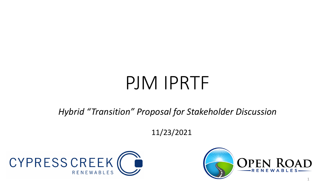# PJM IPRTF

*Hybrid "Transition" Proposal for Stakeholder Discussion*

11/23/2021



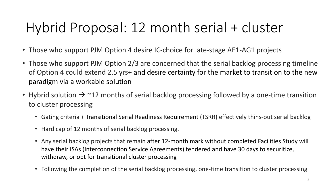- Those who support PJM Option 4 desire IC-choice for late-stage AE1-AG1 projects
- Those who support PJM Option 2/3 are concerned that the serial backlog processing timeline of Option 4 could extend 2.5 yrs+ and desire certainty for the market to transition to the new paradigm via a workable solution
- Hybrid solution  $\rightarrow$  ~12 months of serial backlog processing followed by a one-time transition to cluster processing
	- Gating criteria + Transitional Serial Readiness Requirement (TSRR) effectively thins-out serial backlog
	- Hard cap of 12 months of serial backlog processing.
	- Any serial backlog projects that remain after 12-month mark without completed Facilities Study will have their ISAs (Interconnection Service Agreements) tendered and have 30 days to securitize, withdraw, or opt for transitional cluster processing
	- Following the completion of the serial backlog processing, one-time transition to cluster processing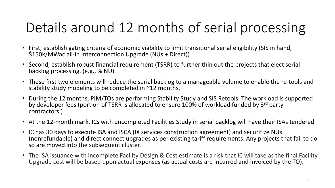# Details around 12 months of serial processing

- First, establish gating criteria of economic viability to limit transitional serial eligibility (SIS in hand, \$150k/MWac all-in Interconnection Upgrade (NUs + Direct))
- Second, establish robust financial requirement (TSRR) to further thin out the projects that elect serial backlog processing. (e.g., % NU)
- These first two elements will reduce the serial backlog to a manageable volume to enable the re-tools and stability study modeling to be completed in ~12 months.
- During the 12 months, PJM/TOs are performing Stability Study and SIS Retools. The workload is supported by developer fees (portion of TSRR is allocated to ensure 100% of workload funded by 3<sup>rd</sup> party contractors.)
- At the 12-month mark, ICs with uncompleted Facilities Study in serial backlog will have their ISAs tendered
- IC has 30 days to execute ISA and ISCA (IX services construction agreement) and securitize NUs (nonrefundable) and direct connect upgrades as per existing tariff requirements. Any projects that fail to do so are moved into the subsequent cluster.
- The ISA issuance with incomplete Facility Design & Cost estimate is a risk that IC will take as the final Facility Upgrade cost will be based upon actual expenses (as actual costs are incurred and invoiced by the TO).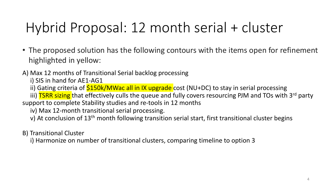• The proposed solution has the following contours with the items open for refinement highlighted in yellow:

#### A) Max 12 months of Transitional Serial backlog processing

i) SIS in hand for AE1-AG1

ii) Gating criteria of **\$150k/MWac all in IX upgrade** cost (NU+DC) to stay in serial processing

iii) TSRR sizing that effectively culls the queue and fully covers resourcing PJM and TOs with 3<sup>rd</sup> party support to complete Stability studies and re-tools in 12 months

iv) Max 12-month transitional serial processing.

v) At conclusion of 13<sup>th</sup> month following transition serial start, first transitional cluster begins

B) Transitional Cluster

i) Harmonize on number of transitional clusters, comparing timeline to option 3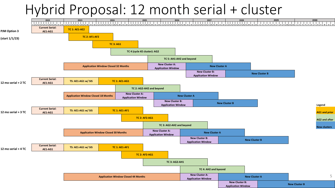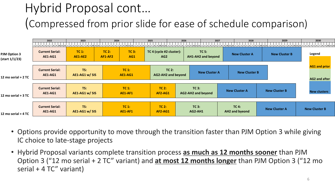### Hybrid Proposal cont… (Compressed from prior slide for ease of schedule comparison)

|                                       | 2022                                     | 2023                      | 2024                         |                     | 2025                                        | 2026                                                   | 2027                        | 2028                      | 2029<br>2   3   4   5   6   7   8   9   10   11   12   1   2 |                                              | 2030<br>5 6 7 8 9 10 11 12 |  |
|---------------------------------------|------------------------------------------|---------------------------|------------------------------|---------------------|---------------------------------------------|--------------------------------------------------------|-----------------------------|---------------------------|--------------------------------------------------------------|----------------------------------------------|----------------------------|--|
| <b>PJM Option 3</b><br>(start 1/1/23) | <b>Current Serial:</b><br><b>AE1-AG1</b> | $TC1$ :<br><b>AE1-AE2</b> | TC <sub>2</sub> :<br>AF1-AF2 | <b>TC 3:</b><br>AG1 | TC 4 (cycle #2 cluster):<br>AG <sub>2</sub> |                                                        | TC 5:<br>AH1-AH2 and beyond | <b>New Cluster A</b>      | <b>New Cluster B</b>                                         |                                              | Legend                     |  |
| 12 mo serial + 2 TC                   | <b>Current Serial:</b><br><b>AE1-AG1</b> | TS:<br>AE1-AG1 w/ SIS     | TC 1:<br><b>AE1-AG1</b>      |                     | $TC2$ :<br><b>AG2-AH2 and beyond</b>        |                                                        | <b>New Cluster A</b>        | <b>New Cluster B</b>      |                                                              | <b>AG1 and prior</b><br><b>AG2 and after</b> |                            |  |
| 12 mo serial + 3 TC                   | <b>Current Serial:</b><br><b>AE1-AG1</b> | TS:<br>AE1-AG1 w/ SIS     |                              | TC 1:<br>AE1-AF1    |                                             | $TC2$ :<br><b>AG2-AH2 and beyond</b><br><b>AF2-AG1</b> |                             | <b>New Cluster A</b>      | <b>New Cluster B</b>                                         |                                              |                            |  |
| 12 mo serial + 4 TC                   | <b>Current Serial:</b><br>AE1-AG1        | TS:<br>AE1-AG1 w/ SIS     | TC 1:<br>AE1-AF1             |                     | TC2:<br><b>AF2-AG1</b>                      |                                                        | <b>TC 3:</b><br>AG2-AH1     | $TC4$ :<br>AH2 and byeond | <b>New Cluster A</b>                                         |                                              | <b>New Cluster B</b>       |  |

- Options provide opportunity to move through the transition faster than PJM Option 3 while giving IC choice to late-stage projects
- Hybrid Proposal variants complete transition process **as much as 12 months sooner** than PJM Option 3 ("12 mo serial + 2 TC" variant) and **at most 12 months longer** than PJM Option 3 ("12 mo serial + 4 TC" variant)